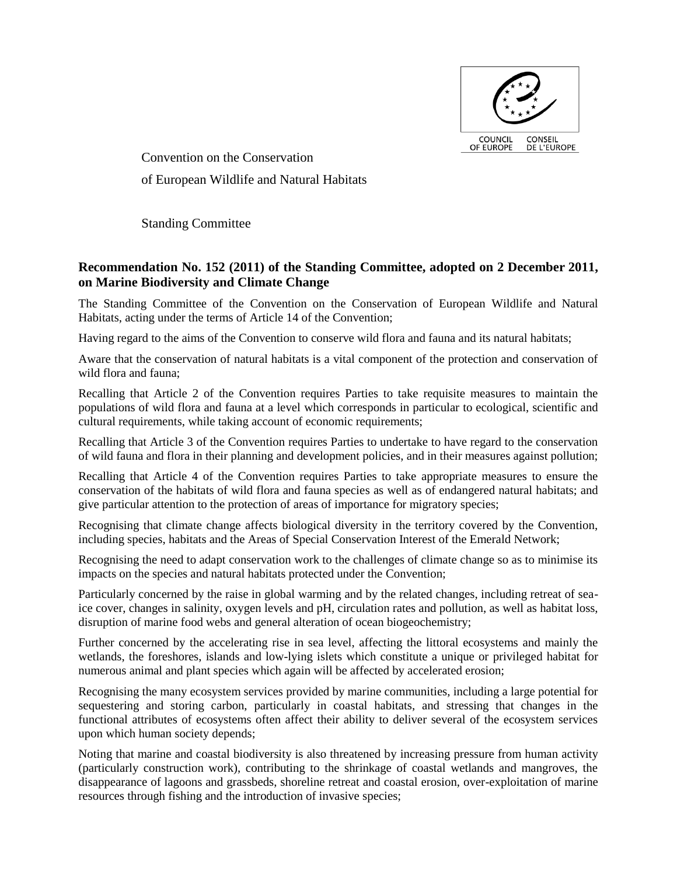

Convention on the Conservation of European Wildlife and Natural Habitats

Standing Committee

# **Recommendation No. 152 (2011) of the Standing Committee, adopted on 2 December 2011, on Marine Biodiversity and Climate Change**

The Standing Committee of the Convention on the Conservation of European Wildlife and Natural Habitats, acting under the terms of Article 14 of the Convention;

Having regard to the aims of the Convention to conserve wild flora and fauna and its natural habitats;

Aware that the conservation of natural habitats is a vital component of the protection and conservation of wild flora and fauna;

Recalling that Article 2 of the Convention requires Parties to take requisite measures to maintain the populations of wild flora and fauna at a level which corresponds in particular to ecological, scientific and cultural requirements, while taking account of economic requirements;

Recalling that Article 3 of the Convention requires Parties to undertake to have regard to the conservation of wild fauna and flora in their planning and development policies, and in their measures against pollution;

Recalling that Article 4 of the Convention requires Parties to take appropriate measures to ensure the conservation of the habitats of wild flora and fauna species as well as of endangered natural habitats; and give particular attention to the protection of areas of importance for migratory species;

Recognising that climate change affects biological diversity in the territory covered by the Convention, including species, habitats and the Areas of Special Conservation Interest of the Emerald Network;

Recognising the need to adapt conservation work to the challenges of climate change so as to minimise its impacts on the species and natural habitats protected under the Convention;

Particularly concerned by the raise in global warming and by the related changes, including retreat of seaice cover, changes in salinity, oxygen levels and pH, circulation rates and pollution, as well as habitat loss, disruption of marine food webs and general alteration of ocean biogeochemistry;

Further concerned by the accelerating rise in sea level, affecting the littoral ecosystems and mainly the wetlands, the foreshores, islands and low-lying islets which constitute a unique or privileged habitat for numerous animal and plant species which again will be affected by accelerated erosion;

Recognising the many ecosystem services provided by marine communities, including a large potential for sequestering and storing carbon, particularly in coastal habitats, and stressing that changes in the functional attributes of ecosystems often affect their ability to deliver several of the ecosystem services upon which human society depends;

Noting that marine and coastal biodiversity is also threatened by increasing pressure from human activity (particularly construction work), contributing to the shrinkage of coastal wetlands and mangroves, the disappearance of lagoons and grassbeds, shoreline retreat and coastal erosion, over-exploitation of marine resources through fishing and the introduction of invasive species;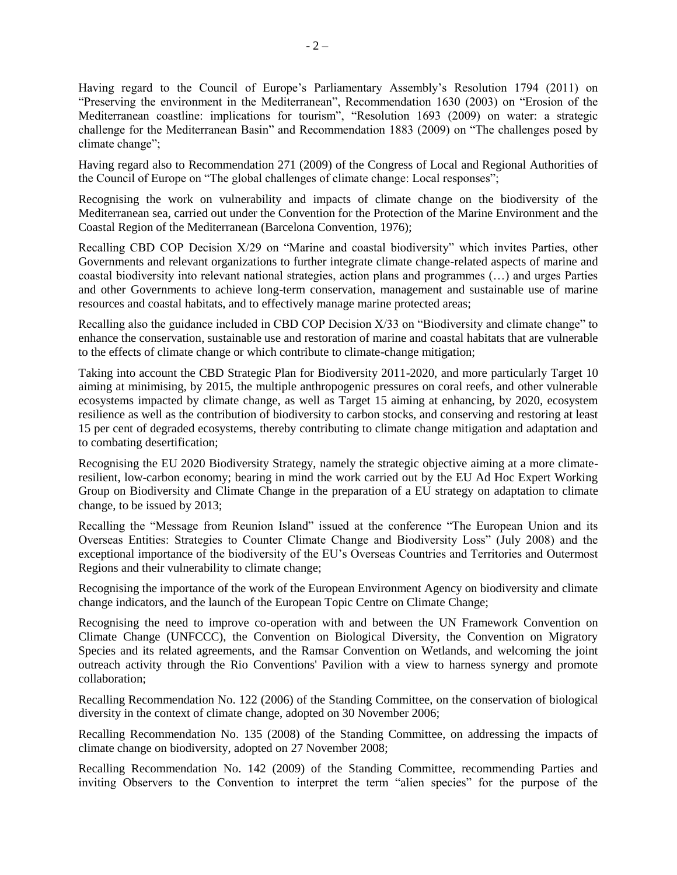Having regard to the Council of Europe's Parliamentary Assembly's Resolution 1794 (2011) on "Preserving the environment in the Mediterranean", Recommendation 1630 (2003) on "Erosion of the Mediterranean coastline: implications for tourism", "Resolution 1693 (2009) on water: a strategic challenge for the Mediterranean Basin" and Recommendation 1883 (2009) on "The challenges posed by climate change";

Having regard also to Recommendation 271 (2009) of the Congress of Local and Regional Authorities of the Council of Europe on "The global challenges of climate change: Local responses";

Recognising the work on vulnerability and impacts of climate change on the biodiversity of the Mediterranean sea, carried out under the Convention for the Protection of the Marine Environment and the Coastal Region of the Mediterranean (Barcelona Convention, 1976);

Recalling CBD COP Decision X/29 on "Marine and coastal biodiversity" which invites Parties, other Governments and relevant organizations to further integrate climate change-related aspects of marine and coastal biodiversity into relevant national strategies, action plans and programmes (…) and urges Parties and other Governments to achieve long-term conservation, management and sustainable use of marine resources and coastal habitats, and to effectively manage marine protected areas;

Recalling also the guidance included in CBD COP Decision X/33 on "Biodiversity and climate change" to enhance the conservation, sustainable use and restoration of marine and coastal habitats that are vulnerable to the effects of climate change or which contribute to climate-change mitigation;

Taking into account the CBD Strategic Plan for Biodiversity 2011-2020, and more particularly Target 10 aiming at minimising, by 2015, the multiple anthropogenic pressures on coral reefs, and other vulnerable ecosystems impacted by climate change, as well as Target 15 aiming at enhancing, by 2020, ecosystem resilience as well as the contribution of biodiversity to carbon stocks, and conserving and restoring at least 15 per cent of degraded ecosystems, thereby contributing to climate change mitigation and adaptation and to combating desertification;

Recognising the EU 2020 Biodiversity Strategy, namely the strategic objective aiming at a more climateresilient, low-carbon economy; bearing in mind the work carried out by the EU Ad Hoc Expert Working Group on Biodiversity and Climate Change in the preparation of a EU strategy on adaptation to climate change, to be issued by 2013;

Recalling the "Message from Reunion Island" issued at the conference "The European Union and its Overseas Entities: Strategies to Counter Climate Change and Biodiversity Loss" (July 2008) and the exceptional importance of the biodiversity of the EU's Overseas Countries and Territories and Outermost Regions and their vulnerability to climate change;

Recognising the importance of the work of the European Environment Agency on biodiversity and climate change indicators, and the launch of the European Topic Centre on Climate Change;

Recognising the need to improve co-operation with and between the UN Framework Convention on Climate Change (UNFCCC), the Convention on Biological Diversity, the Convention on Migratory Species and its related agreements, and the Ramsar Convention on Wetlands, and welcoming the joint outreach activity through the Rio Conventions' Pavilion with a view to harness synergy and promote collaboration;

Recalling Recommendation No. 122 (2006) of the Standing Committee, on the conservation of biological diversity in the context of climate change, adopted on 30 November 2006;

Recalling Recommendation No. 135 (2008) of the Standing Committee, on addressing the impacts of climate change on biodiversity, adopted on 27 November 2008;

Recalling Recommendation No. 142 (2009) of the Standing Committee, recommending Parties and inviting Observers to the Convention to interpret the term "alien species" for the purpose of the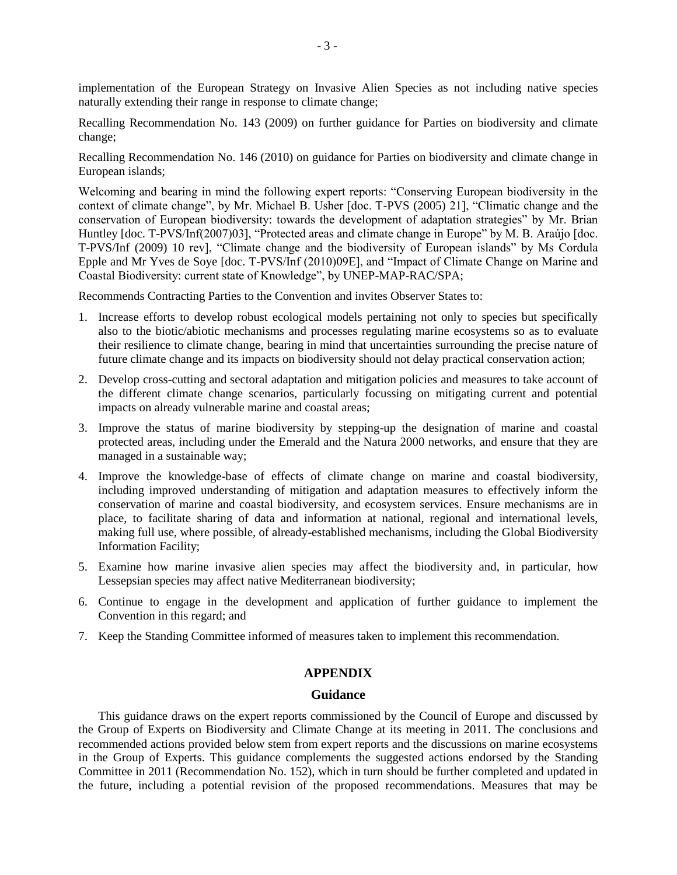implementation of the European Strategy on Invasive Alien Species as not including native species naturally extending their range in response to climate change;

Recalling Recommendation No. 143 (2009) on further guidance for Parties on biodiversity and climate change;

Recalling Recommendation No. 146 (2010) on guidance for Parties on biodiversity and climate change in European islands;

Welcoming and bearing in mind the following expert reports: "Conserving European biodiversity in the context of climate change", by Mr. Michael B. Usher [doc. T-PVS (2005) 21], "Climatic change and the conservation of European biodiversity: towards the development of adaptation strategies" by Mr. Brian Huntley [doc. T-PVS/Inf(2007)03], "Protected areas and climate change in Europe" by M. B. Araújo [doc. T-PVS/Inf (2009) 10 rev], "Climate change and the biodiversity of European islands" by Ms Cordula Epple and Mr Yves de Soye [doc. T-PVS/Inf (2010)09E], and "Impact of Climate Change on Marine and Coastal Biodiversity: current state of Knowledge", by UNEP-MAP-RAC/SPA;

Recommends Contracting Parties to the Convention and invites Observer States to:

- 1. Increase efforts to develop robust ecological models pertaining not only to species but specifically also to the biotic/abiotic mechanisms and processes regulating marine ecosystems so as to evaluate their resilience to climate change, bearing in mind that uncertainties surrounding the precise nature of future climate change and its impacts on biodiversity should not delay practical conservation action;
- 2. Develop cross-cutting and sectoral adaptation and mitigation policies and measures to take account of the different climate change scenarios, particularly focussing on mitigating current and potential impacts on already vulnerable marine and coastal areas;
- 3. Improve the status of marine biodiversity by stepping-up the designation of marine and coastal protected areas, including under the Emerald and the Natura 2000 networks, and ensure that they are managed in a sustainable way;
- 4. Improve the knowledge-base of effects of climate change on marine and coastal biodiversity, including improved understanding of mitigation and adaptation measures to effectively inform the conservation of marine and coastal biodiversity, and ecosystem services. Ensure mechanisms are in place, to facilitate sharing of data and information at national, regional and international levels, making full use, where possible, of already-established mechanisms, including the Global Biodiversity Information Facility;
- 5. Examine how marine invasive alien species may affect the biodiversity and, in particular, how Lessepsian species may affect native Mediterranean biodiversity;
- 6. Continue to engage in the development and application of further guidance to implement the Convention in this regard; and
- 7. Keep the Standing Committee informed of measures taken to implement this recommendation.

## **APPENDIX**

#### **Guidance**

This guidance draws on the expert reports commissioned by the Council of Europe and discussed by the Group of Experts on Biodiversity and Climate Change at its meeting in 2011. The conclusions and recommended actions provided below stem from expert reports and the discussions on marine ecosystems in the Group of Experts. This guidance complements the suggested actions endorsed by the Standing Committee in 2011 (Recommendation No. 152), which in turn should be further completed and updated in the future, including a potential revision of the proposed recommendations. Measures that may be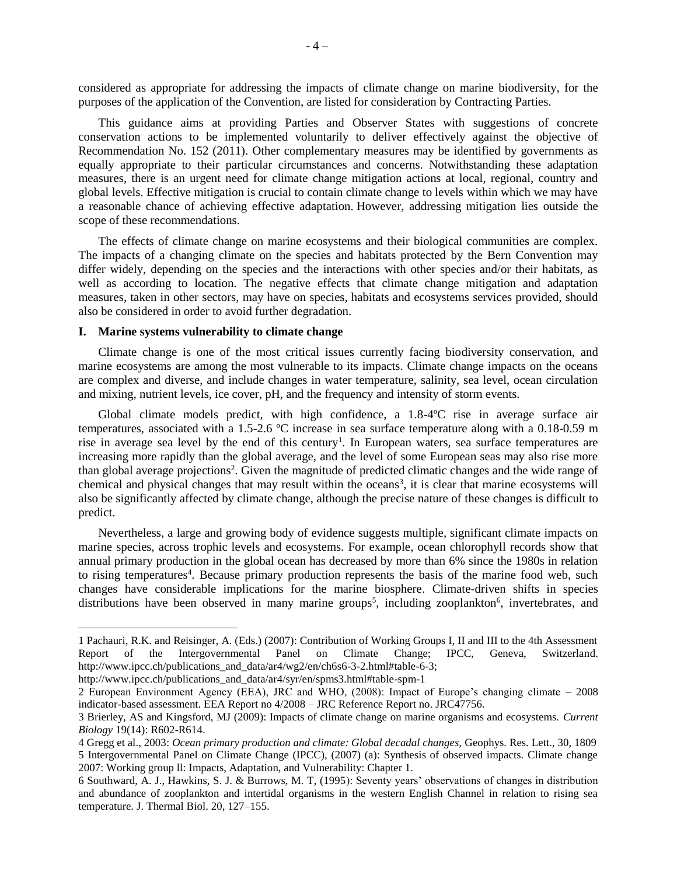considered as appropriate for addressing the impacts of climate change on marine biodiversity, for the purposes of the application of the Convention, are listed for consideration by Contracting Parties.

This guidance aims at providing Parties and Observer States with suggestions of concrete conservation actions to be implemented voluntarily to deliver effectively against the objective of Recommendation No. 152 (2011). Other complementary measures may be identified by governments as equally appropriate to their particular circumstances and concerns. Notwithstanding these adaptation measures, there is an urgent need for climate change mitigation actions at local, regional, country and global levels. Effective mitigation is crucial to contain climate change to levels within which we may have a reasonable chance of achieving effective adaptation. However, addressing mitigation lies outside the scope of these recommendations.

The effects of climate change on marine ecosystems and their biological communities are complex. The impacts of a changing climate on the species and habitats protected by the Bern Convention may differ widely, depending on the species and the interactions with other species and/or their habitats, as well as according to location. The negative effects that climate change mitigation and adaptation measures, taken in other sectors, may have on species, habitats and ecosystems services provided, should also be considered in order to avoid further degradation.

#### **I. Marine systems vulnerability to climate change**

Climate change is one of the most critical issues currently facing biodiversity conservation, and marine ecosystems are among the most vulnerable to its impacts. Climate change impacts on the oceans are complex and diverse, and include changes in water temperature, salinity, sea level, ocean circulation and mixing, nutrient levels, ice cover, pH, and the frequency and intensity of storm events.

Global climate models predict, with high confidence, a 1.8-4ºC rise in average surface air temperatures, associated with a 1.5-2.6 ºC increase in sea surface temperature along with a 0.18-0.59 m rise in average sea level by the end of this century<sup>1</sup>. In European waters, sea surface temperatures are increasing more rapidly than the global average, and the level of some European seas may also rise more than global average projections<sup>2</sup>. Given the magnitude of predicted climatic changes and the wide range of chemical and physical changes that may result within the oceans<sup>3</sup>, it is clear that marine ecosystems will also be significantly affected by climate change, although the precise nature of these changes is difficult to predict.

Nevertheless, a large and growing body of evidence suggests multiple, significant climate impacts on marine species, across trophic levels and ecosystems. For example, ocean chlorophyll records show that annual primary production in the global ocean has decreased by more than 6% since the 1980s in relation to rising temperatures<sup>4</sup>. Because primary production represents the basis of the marine food web, such changes have considerable implications for the marine biosphere. Climate-driven shifts in species distributions have been observed in many marine groups<sup>5</sup>, including zooplankton<sup>6</sup>, invertebrates, and

<sup>1</sup> Pachauri, R.K. and Reisinger, A. (Eds.) (2007): Contribution of Working Groups I, II and III to the 4th Assessment Report of the Intergovernmental Panel on Climate Change; IPCC, Geneva, Switzerland. [http://www.ipcc.ch/publications\\_and\\_data/ar4/wg2/en/ch6s6-3-2.html#table-6-3;](http://www.ipcc.ch/publications_and_data/ar4/wg2/en/ch6s6-3-2.html#table-6-3)

http://www.ipcc.ch/publications and data/ar4/syr/en/spms3.html#table-spm-1

<sup>2</sup> European Environment Agency (EEA), JRC and WHO, (2008): Impact of Europe's changing climate – 2008 indicator-based assessment. EEA Report no 4/2008 – JRC Reference Report no. JRC47756.

<sup>3</sup> Brierley, AS and Kingsford, MJ (2009): Impacts of climate change on marine organisms and ecosystems. *Current Biology* 19(14): R602-R614.

<sup>4</sup> Gregg et al., 2003: *Ocean primary production and climate: Global decadal changes,* Geophys. Res. Lett., 30, 1809 5 Intergovernmental Panel on Climate Change (IPCC), (2007) (a): Synthesis of observed impacts. Climate change 2007: Working group ll: Impacts, Adaptation, and Vulnerability: Chapter 1.

<sup>6</sup> Southward, A. J., Hawkins, S. J. & Burrows, M. T, (1995): Seventy years' observations of changes in distribution and abundance of zooplankton and intertidal organisms in the western English Channel in relation to rising sea temperature. J. Thermal Biol. 20, 127–155.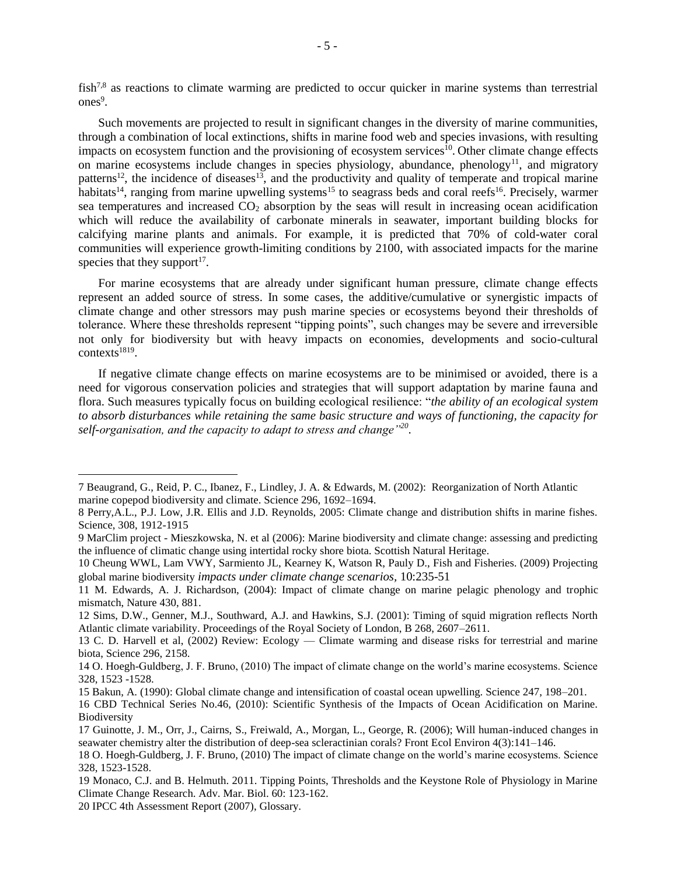fish<sup>7,8</sup> as reactions to climate warming are predicted to occur quicker in marine systems than terrestrial ones<sup>9</sup>.

Such movements are projected to result in significant changes in the diversity of marine communities, through a combination of local extinctions, shifts in marine food web and species invasions, with resulting impacts on ecosystem function and the provisioning of ecosystem services<sup>10</sup>. Other climate change effects on marine ecosystems include changes in species physiology, abundance, phenology<sup>11</sup>, and migratory patterns<sup>12</sup>, the incidence of diseases<sup>13</sup>, and the productivity and quality of temperate and tropical marine habitats<sup>14</sup>, ranging from marine upwelling systems<sup>15</sup> to seagrass beds and coral reefs<sup>16</sup>. Precisely, warmer sea temperatures and increased  $CO<sub>2</sub>$  absorption by the seas will result in increasing ocean acidification which will reduce the availability of carbonate minerals in seawater, important building blocks for calcifying marine plants and animals. For example, it is predicted that 70% of cold-water coral communities will experience growth-limiting conditions by 2100, with associated impacts for the marine species that they support<sup>17</sup>.

For marine ecosystems that are already under significant human pressure, climate change effects represent an added source of stress. In some cases, the additive/cumulative or synergistic impacts of climate change and other stressors may push marine species or ecosystems beyond their thresholds of tolerance. Where these thresholds represent "tipping points", such changes may be severe and irreversible not only for biodiversity but with heavy impacts on economies, developments and socio-cultural contexts<sup>1819</sup>.

If negative climate change effects on marine ecosystems are to be minimised or avoided, there is a need for vigorous conservation policies and strategies that will support adaptation by marine fauna and flora. Such measures typically focus on building ecological resilience: "*the ability of an ecological system to absorb disturbances while retaining the same basic structure and ways of functioning, the capacity for self-organisation, and the capacity to adapt to stress and change"<sup>20</sup>* .

20 IPCC 4th Assessment Report (2007), Glossary.

<sup>7</sup> Beaugrand, G., Reid, P. C., Ibanez, F., Lindley, J. A. & Edwards, M. (2002): Reorganization of North Atlantic marine copepod biodiversity and climate. Science 296, 1692–1694.

<sup>8</sup> Perry,A.L., P.J. Low, J.R. Ellis and J.D. Reynolds, 2005: Climate change and distribution shifts in marine fishes. Science, 308, 1912-1915

<sup>9</sup> MarClim project - Mieszkowska, N. et al (2006): Marine biodiversity and climate change: assessing and predicting the influence of climatic change using intertidal rocky shore biota. Scottish Natural Heritage.

<sup>10</sup> Cheung WWL, Lam VWY, Sarmiento JL, Kearney K, Watson R, Pauly D., Fish and Fisheries. (2009) Projecting global marine biodiversity *impacts under climate change scenarios,* 10:235-51

<sup>11</sup> M. Edwards, A. J. Richardson, (2004): Impact of climate change on marine pelagic phenology and trophic mismatch, Nature 430, 881.

<sup>12</sup> Sims, D.W., Genner, M.J., Southward, A.J. and Hawkins, S.J. (2001): Timing of squid migration reflects North Atlantic climate variability. Proceedings of the Royal Society of London, B 268, 2607–2611.

<sup>13</sup> C. D. Harvell et al, (2002) Review: Ecology — Climate warming and disease risks for terrestrial and marine biota, Science 296, 2158.

<sup>14</sup> O. Hoegh-Guldberg, J. F. Bruno, (2010) The impact of climate change on the world's marine ecosystems. Science 328, 1523 -1528.

<sup>15</sup> Bakun, A. (1990): Global climate change and intensification of coastal ocean upwelling. Science 247, 198–201.

<sup>16</sup> CBD Technical Series No.46, (2010): Scientific Synthesis of the Impacts of Ocean Acidification on Marine. Biodiversity

<sup>17</sup> Guinotte, J. M., Orr, J., Cairns, S., Freiwald, A., Morgan, L., George, R. (2006); Will human-induced changes in seawater chemistry alter the distribution of deep-sea scleractinian corals? Front Ecol Environ 4(3):141–146.

<sup>18</sup> O. Hoegh-Guldberg, J. F. Bruno, (2010) The impact of climate change on the world's marine ecosystems. Science 328, 1523-1528.

<sup>19</sup> Monaco, C.J. and B. Helmuth. 2011. Tipping Points, Thresholds and the Keystone Role of Physiology in Marine Climate Change Research. Adv. Mar. Biol. 60: 123-162.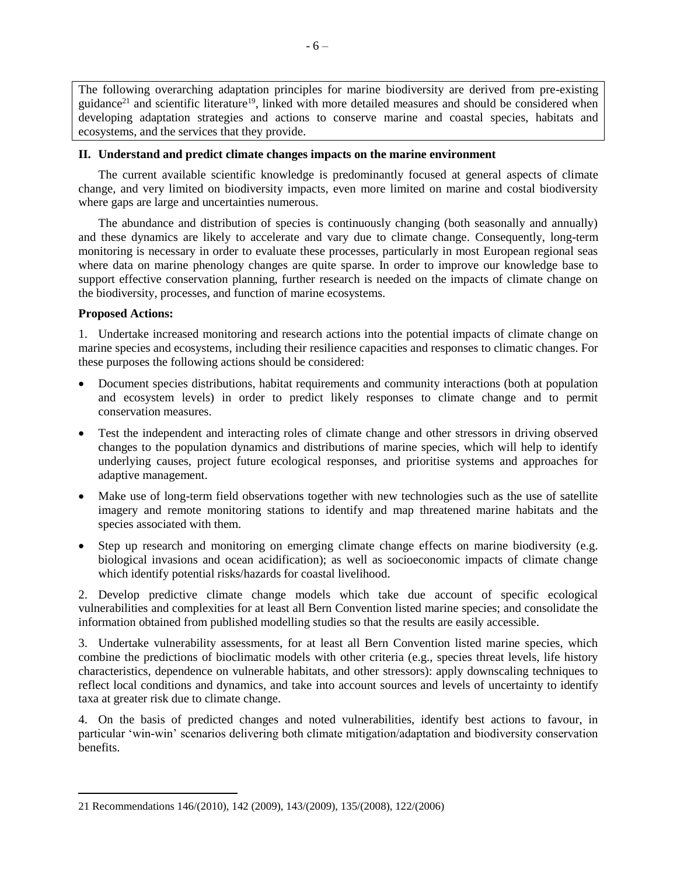The following overarching adaptation principles for marine biodiversity are derived from pre-existing guidance<sup>21</sup> and scientific literature<sup>19</sup>, linked with more detailed measures and should be considered when developing adaptation strategies and actions to conserve marine and coastal species, habitats and ecosystems, and the services that they provide.

## **II. Understand and predict climate changes impacts on the marine environment**

The current available scientific knowledge is predominantly focused at general aspects of climate change, and very limited on biodiversity impacts, even more limited on marine and costal biodiversity where gaps are large and uncertainties numerous.

The abundance and distribution of species is continuously changing (both seasonally and annually) and these dynamics are likely to accelerate and vary due to climate change. Consequently, long-term monitoring is necessary in order to evaluate these processes, particularly in most European regional seas where data on marine phenology changes are quite sparse. In order to improve our knowledge base to support effective conservation planning, further research is needed on the impacts of climate change on the biodiversity, processes, and function of marine ecosystems.

# **Proposed Actions:**

 $\overline{a}$ 

1. Undertake increased monitoring and research actions into the potential impacts of climate change on marine species and ecosystems, including their resilience capacities and responses to climatic changes. For these purposes the following actions should be considered:

- Document species distributions, habitat requirements and community interactions (both at population and ecosystem levels) in order to predict likely responses to climate change and to permit conservation measures.
- Test the independent and interacting roles of climate change and other stressors in driving observed changes to the population dynamics and distributions of marine species, which will help to identify underlying causes, project future ecological responses, and prioritise systems and approaches for adaptive management.
- Make use of long-term field observations together with new technologies such as the use of satellite imagery and remote monitoring stations to identify and map threatened marine habitats and the species associated with them.
- Step up research and monitoring on emerging climate change effects on marine biodiversity (e.g. biological invasions and ocean acidification); as well as socioeconomic impacts of climate change which identify potential risks/hazards for coastal livelihood.

2. Develop predictive climate change models which take due account of specific ecological vulnerabilities and complexities for at least all Bern Convention listed marine species; and consolidate the information obtained from published modelling studies so that the results are easily accessible.

3. Undertake vulnerability assessments, for at least all Bern Convention listed marine species, which combine the predictions of bioclimatic models with other criteria (e.g., species threat levels, life history characteristics, dependence on vulnerable habitats, and other stressors): apply downscaling techniques to reflect local conditions and dynamics, and take into account sources and levels of uncertainty to identify taxa at greater risk due to climate change.

4. On the basis of predicted changes and noted vulnerabilities, identify best actions to favour, in particular 'win-win' scenarios delivering both climate mitigation/adaptation and biodiversity conservation benefits.

<sup>21</sup> Recommendations 146/(2010), 142 (2009), 143/(2009), 135/(2008), 122/(2006)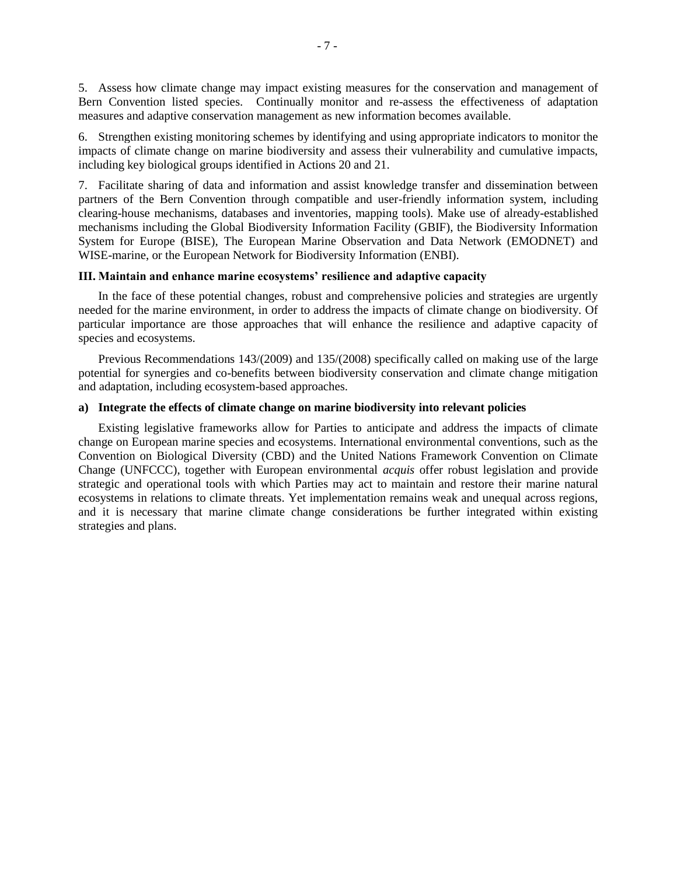5. Assess how climate change may impact existing measures for the conservation and management of Bern Convention listed species. Continually monitor and re-assess the effectiveness of adaptation measures and adaptive conservation management as new information becomes available.

6. Strengthen existing monitoring schemes by identifying and using appropriate indicators to monitor the impacts of climate change on marine biodiversity and assess their vulnerability and cumulative impacts, including key biological groups identified in Actions 20 and 21.

7. Facilitate sharing of data and information and assist knowledge transfer and dissemination between partners of the Bern Convention through compatible and user-friendly information system, including clearing-house mechanisms, databases and inventories, mapping tools). Make use of already-established mechanisms including the Global Biodiversity Information Facility (GBIF), the Biodiversity Information System for Europe (BISE), The European Marine Observation and Data Network (EMODNET) and WISE-marine, or the European Network for Biodiversity Information (ENBI).

# **III. Maintain and enhance marine ecosystems' resilience and adaptive capacity**

In the face of these potential changes, robust and comprehensive policies and strategies are urgently needed for the marine environment, in order to address the impacts of climate change on biodiversity. Of particular importance are those approaches that will enhance the resilience and adaptive capacity of species and ecosystems.

Previous Recommendations 143/(2009) and 135/(2008) specifically called on making use of the large potential for synergies and co-benefits between biodiversity conservation and climate change mitigation and adaptation, including ecosystem-based approaches.

#### **a) Integrate the effects of climate change on marine biodiversity into relevant policies**

Existing legislative frameworks allow for Parties to anticipate and address the impacts of climate change on European marine species and ecosystems. International environmental conventions, such as the Convention on Biological Diversity (CBD) and the United Nations Framework Convention on Climate Change (UNFCCC), together with European environmental *acquis* offer robust legislation and provide strategic and operational tools with which Parties may act to maintain and restore their marine natural ecosystems in relations to climate threats. Yet implementation remains weak and unequal across regions, and it is necessary that marine climate change considerations be further integrated within existing strategies and plans.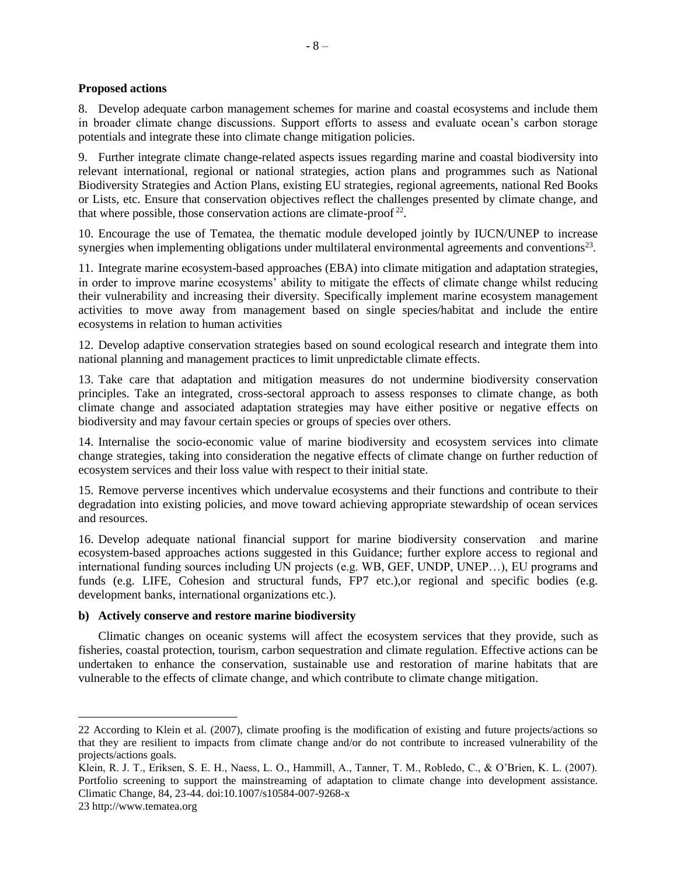## **Proposed actions**

8. Develop adequate carbon management schemes for marine and coastal ecosystems and include them in broader climate change discussions. Support efforts to assess and evaluate ocean's carbon storage potentials and integrate these into climate change mitigation policies.

9. Further integrate climate change-related aspects issues regarding marine and coastal biodiversity into relevant international, regional or national strategies, action plans and programmes such as National Biodiversity Strategies and Action Plans, existing EU strategies, regional agreements, national Red Books or Lists, etc. Ensure that conservation objectives reflect the challenges presented by climate change, and that where possible, those conservation actions are climate-proof<sup>22</sup>.

10. Encourage the use of Tematea, the thematic module developed jointly by IUCN/UNEP to increase synergies when implementing obligations under multilateral environmental agreements and conventions $2<sup>3</sup>$ .

11. Integrate marine ecosystem-based approaches (EBA) into climate mitigation and adaptation strategies, in order to improve marine ecosystems' ability to mitigate the effects of climate change whilst reducing their vulnerability and increasing their diversity. Specifically implement marine ecosystem management activities to move away from management based on single species/habitat and include the entire ecosystems in relation to human activities

12. Develop adaptive conservation strategies based on sound ecological research and integrate them into national planning and management practices to limit unpredictable climate effects.

13. Take care that adaptation and mitigation measures do not undermine biodiversity conservation principles. Take an integrated, cross-sectoral approach to assess responses to climate change, as both climate change and associated adaptation strategies may have either positive or negative effects on biodiversity and may favour certain species or groups of species over others.

14. Internalise the socio-economic value of marine biodiversity and ecosystem services into climate change strategies, taking into consideration the negative effects of climate change on further reduction of ecosystem services and their loss value with respect to their initial state.

15. Remove perverse incentives which undervalue ecosystems and their functions and contribute to their degradation into existing policies, and move toward achieving appropriate stewardship of ocean services and resources.

16. Develop adequate national financial support for marine biodiversity conservation and marine ecosystem-based approaches actions suggested in this Guidance; further explore access to regional and international funding sources including UN projects (e.g. WB, GEF, UNDP, UNEP...), EU programs and funds (e.g. LIFE, Cohesion and structural funds, FP7 etc.), or regional and specific bodies (e.g. development banks, international organizations etc.).

## **b) Actively conserve and restore marine biodiversity**

Climatic changes on oceanic systems will affect the ecosystem services that they provide, such as fisheries, coastal protection, tourism, carbon sequestration and climate regulation. Effective actions can be undertaken to enhance the conservation, sustainable use and restoration of marine habitats that are vulnerable to the effects of climate change, and which contribute to climate change mitigation.

<sup>22</sup> According to Klein et al. (2007), climate proofing is the modification of existing and future projects/actions so that they are resilient to impacts from climate change and/or do not contribute to increased vulnerability of the projects/actions goals.

Klein, R. J. T., Eriksen, S. E. H., Naess, L. O., Hammill, A., Tanner, T. M., Robledo, C., & O'Brien, K. L. (2007). Portfolio screening to support the mainstreaming of adaptation to climate change into development assistance. Climatic Change, 84, 23-44. doi:10.1007/s10584-007-9268-x

<sup>23</sup> http://www.tematea.org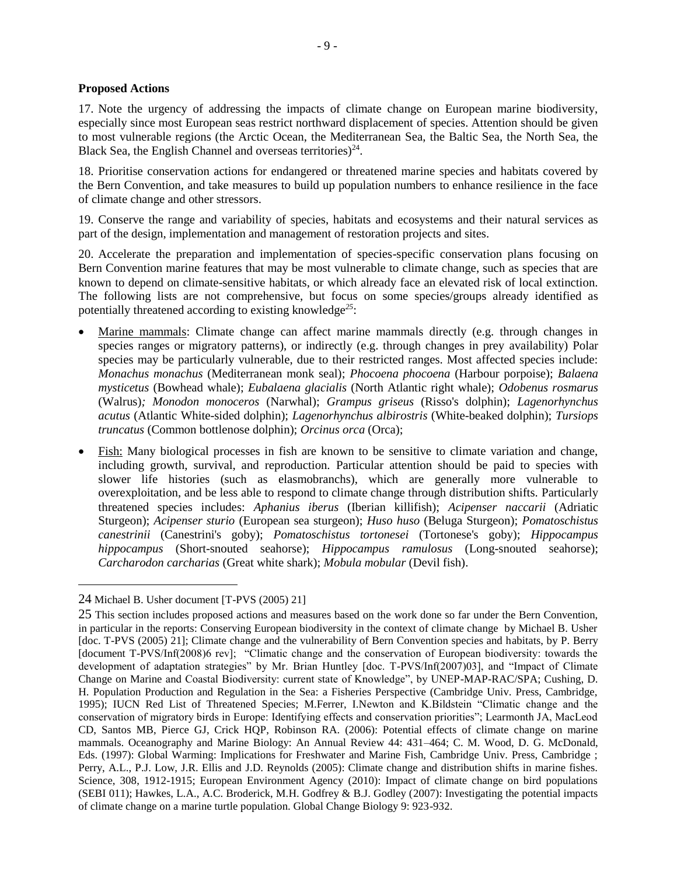## **Proposed Actions**

17. Note the urgency of addressing the impacts of climate change on European marine biodiversity, especially since most European seas restrict northward displacement of species. Attention should be given to most vulnerable regions (the Arctic Ocean, the Mediterranean Sea, the Baltic Sea, the North Sea, the Black Sea, the English Channel and overseas territories) $24$ .

18. Prioritise conservation actions for endangered or threatened marine species and habitats covered by the Bern Convention, and take measures to build up population numbers to enhance resilience in the face of climate change and other stressors.

19. Conserve the range and variability of species, habitats and ecosystems and their natural services as part of the design, implementation and management of restoration projects and sites.

20. Accelerate the preparation and implementation of species-specific conservation plans focusing on Bern Convention marine features that may be most vulnerable to climate change, such as species that are known to depend on climate-sensitive habitats, or which already face an elevated risk of local extinction. The following lists are not comprehensive, but focus on some species/groups already identified as potentially threatened according to existing knowledge*<sup>25</sup>*:

- Marine mammals: Climate change can affect marine mammals directly (e.g. through changes in species ranges or migratory patterns), or indirectly (e.g. through changes in prey availability) Polar species may be particularly vulnerable, due to their restricted ranges. Most affected species include: *Monachus monachus* (Mediterranean monk seal); *Phocoena phocoena* (Harbour porpoise); *Balaena mysticetus* (Bowhead whale); *Eubalaena glacialis* (North Atlantic right whale); *Odobenus rosmarus*  (Walrus)*; Monodon monoceros* (Narwhal); *Grampus griseus* (Risso's dolphin); *Lagenorhynchus acutus* (Atlantic White-sided dolphin); *Lagenorhynchus albirostris* (White-beaked dolphin); *Tursiops truncatus* (Common bottlenose dolphin); *Orcinus orca* (Orca);
- Fish: Many biological processes in fish are known to be sensitive to climate variation and change, including growth, survival, and reproduction. Particular attention should be paid to species with slower life histories (such as elasmobranchs), which are generally more vulnerable to overexploitation, and be less able to respond to climate change through distribution shifts. Particularly threatened species includes: *Aphanius iberus* (Iberian killifish); *Acipenser naccarii* (Adriatic Sturgeon); *Acipenser sturio* (European sea sturgeon); *Huso huso* (Beluga Sturgeon); *Pomatoschistus canestrinii* (Canestrini's goby); *Pomatoschistus tortonesei* (Tortonese's goby); *Hippocampus hippocampus* (Short-snouted seahorse); *Hippocampus ramulosus* (Long-snouted seahorse); *Carcharodon carcharias* (Great white shark); *Mobula mobular* (Devil fish).

<sup>24</sup> Michael B. Usher document [T-PVS (2005) 21]

<sup>25</sup> This section includes proposed actions and measures based on the work done so far under the Bern Convention, in particular in the reports: Conserving European biodiversity in the context of climate change by Michael B. Usher [doc. T-PVS (2005) 21]; Climate change and the vulnerability of Bern Convention species and habitats, by P. Berry [document T-PVS/Inf(2008)6 rev]; "Climatic change and the conservation of European biodiversity: towards the development of adaptation strategies" by Mr. Brian Huntley [doc. T-PVS/Inf(2007)03], and "Impact of Climate Change on Marine and Coastal Biodiversity: current state of Knowledge", by UNEP-MAP-RAC/SPA; Cushing, D. H. Population Production and Regulation in the Sea: a Fisheries Perspective (Cambridge Univ. Press, Cambridge, 1995); IUCN Red List of Threatened Species; M.Ferrer, I.Newton and K.Bildstein "Climatic change and the conservation of migratory birds in Europe: Identifying effects and conservation priorities"; Learmonth JA, MacLeod CD, Santos MB, Pierce GJ, Crick HQP, Robinson RA. (2006): Potential effects of climate change on marine mammals. Oceanography and Marine Biology: An Annual Review 44: 431–464; C. M. Wood, D. G. McDonald, Eds. (1997): Global Warming: Implications for Freshwater and Marine Fish, Cambridge Univ. Press, Cambridge ; Perry, A.L., P.J. Low, J.R. Ellis and J.D. Reynolds (2005): Climate change and distribution shifts in marine fishes. Science, 308, 1912-1915; European Environment Agency (2010): Impact of climate change on bird populations (SEBI 011); Hawkes, L.A., A.C. Broderick, M.H. Godfrey & B.J. Godley (2007): Investigating the potential impacts of climate change on a marine turtle population. Global Change Biology 9: 923-932.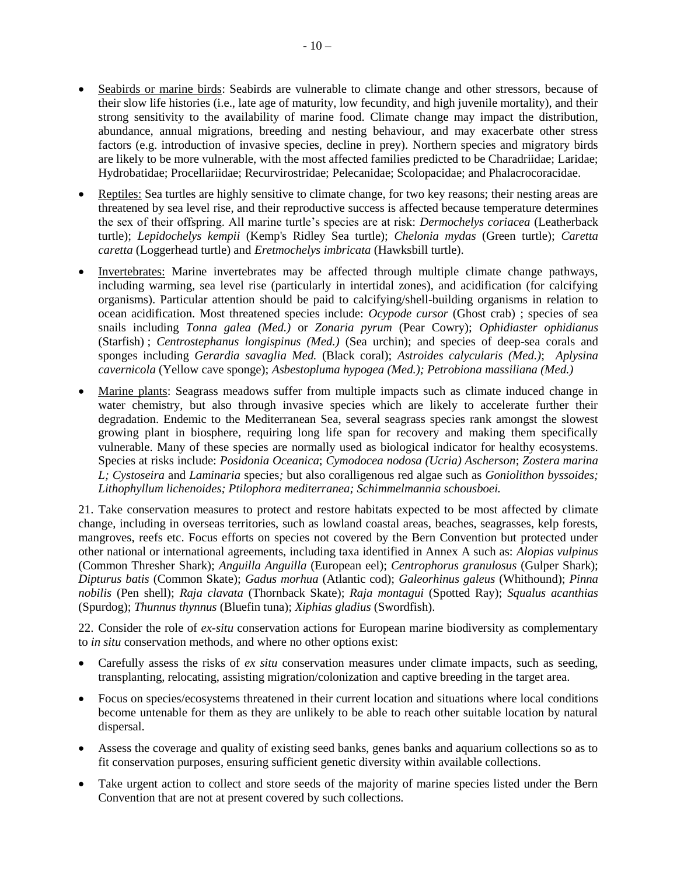- Seabirds or marine birds: Seabirds are vulnerable to climate change and other stressors, because of their slow life histories (i.e., late age of maturity, low fecundity, and high juvenile mortality), and their strong sensitivity to the availability of marine food. Climate change may impact the distribution, abundance, annual migrations, breeding and nesting behaviour, and may exacerbate other stress factors (e.g. introduction of invasive species, decline in prey). Northern species and migratory birds are likely to be more vulnerable, with the most affected families predicted to be Charadriidae; Laridae; Hydrobatidae; Procellariidae; Recurvirostridae; Pelecanidae; Scolopacidae; and Phalacrocoracidae.
- Reptiles: Sea turtles are highly sensitive to climate change, for two key reasons; their nesting areas are threatened by sea level rise, and their reproductive success is affected because temperature determines the sex of their offspring. All marine turtle's species are at risk: *Dermochelys coriacea* (Leatherback turtle); *Lepidochelys kempii* (Kemp's Ridley Sea turtle); *Chelonia mydas* (Green turtle); *Caretta caretta* (Loggerhead turtle) and *Eretmochelys imbricata* (Hawksbill turtle).
- Invertebrates: Marine invertebrates may be affected through multiple climate change pathways, including warming, sea level rise (particularly in intertidal zones), and acidification (for calcifying organisms). Particular attention should be paid to calcifying/shell-building organisms in relation to ocean acidification. Most threatened species include: *Ocypode cursor* (Ghost crab) ; species of sea snails including *Tonna galea (Med.)* or *Zonaria pyrum* (Pear Cowry); *Ophidiaster ophidianus* (Starfish) ; *Centrostephanus longispinus (Med.)* (Sea urchin); and species of deep-sea corals and sponges including *Gerardia savaglia Med.* (Black coral); *Astroides calycularis (Med.)*; *Aplysina cavernicola* (Yellow cave sponge); *Asbestopluma hypogea (Med.); Petrobiona massiliana (Med.)*
- Marine plants: Seagrass meadows suffer from multiple impacts such as climate induced change in water chemistry, but also through invasive species which are likely to accelerate further their degradation. Endemic to the Mediterranean Sea, several seagrass species rank amongst the slowest growing plant in biosphere, requiring long life span for recovery and making them specifically vulnerable. Many of these species are normally used as biological indicator for healthy ecosystems. Species at risks include: *Posidonia Oceanica*; *Cymodocea nodosa (Ucria) Ascherson*; *Zostera marina L; Cystoseira* and *Laminaria* species*;* but also coralligenous red algae such as *Goniolithon byssoides; Lithophyllum lichenoides; Ptilophora mediterranea; Schimmelmannia schousboei.*

21. Take conservation measures to protect and restore habitats expected to be most affected by climate change, including in overseas territories, such as lowland coastal areas, beaches, seagrasses, kelp forests, mangroves, reefs etc. Focus efforts on species not covered by the Bern Convention but protected under other national or international agreements, including taxa identified in Annex A such as: *Alopias vulpinus* (Common Thresher Shark); *Anguilla Anguilla* (European eel); *Centrophorus granulosus* (Gulper Shark); *Dipturus batis* (Common Skate); *Gadus morhua* (Atlantic cod); *Galeorhinus galeus* (Whithound); *Pinna nobilis* (Pen shell); *Raja clavata* (Thornback Skate); *Raja montagui* (Spotted Ray); *Squalus acanthias* (Spurdog); *Thunnus thynnus* (Bluefin tuna); *Xiphias gladius* (Swordfish).

22. Consider the role of *ex-situ* conservation actions for European marine biodiversity as complementary to *in situ* conservation methods, and where no other options exist:

- Carefully assess the risks of *ex situ* conservation measures under climate impacts, such as seeding, transplanting, relocating, assisting migration/colonization and captive breeding in the target area.
- Focus on species/ecosystems threatened in their current location and situations where local conditions become untenable for them as they are unlikely to be able to reach other suitable location by natural dispersal.
- Assess the coverage and quality of existing seed banks, genes banks and aquarium collections so as to fit conservation purposes, ensuring sufficient genetic diversity within available collections.
- Take urgent action to collect and store seeds of the majority of marine species listed under the Bern Convention that are not at present covered by such collections.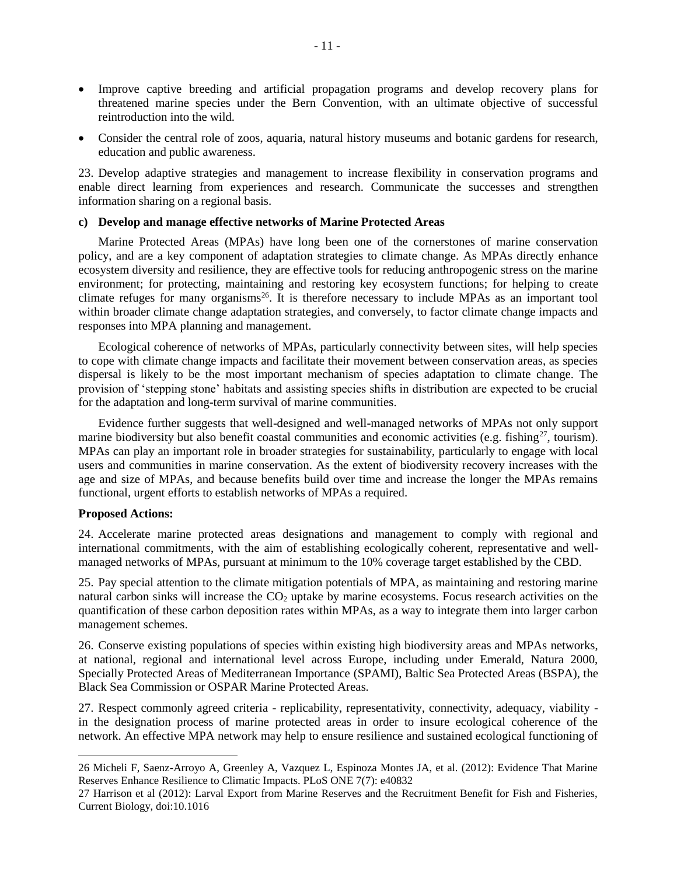- Improve captive breeding and artificial propagation programs and develop recovery plans for threatened marine species under the Bern Convention, with an ultimate objective of successful reintroduction into the wild.
- Consider the central role of zoos, aquaria, natural history museums and botanic gardens for research, education and public awareness.

23. Develop adaptive strategies and management to increase flexibility in conservation programs and enable direct learning from experiences and research. Communicate the successes and strengthen information sharing on a regional basis.

#### **c) Develop and manage effective networks of Marine Protected Areas**

Marine Protected Areas (MPAs) have long been one of the cornerstones of marine conservation policy, and are a key component of adaptation strategies to climate change. As MPAs directly enhance ecosystem diversity and resilience, they are effective tools for reducing anthropogenic stress on the marine environment; for protecting, maintaining and restoring key ecosystem functions; for helping to create climate refuges for many organisms<sup>26</sup>. It is therefore necessary to include MPAs as an important tool within broader climate change adaptation strategies, and conversely, to factor climate change impacts and responses into MPA planning and management.

Ecological coherence of networks of MPAs, particularly connectivity between sites, will help species to cope with climate change impacts and facilitate their movement between conservation areas, as species dispersal is likely to be the most important mechanism of species adaptation to climate change. The provision of 'stepping stone' habitats and assisting species shifts in distribution are expected to be crucial for the adaptation and long-term survival of marine communities.

Evidence further suggests that well-designed and well-managed networks of MPAs not only support marine biodiversity but also benefit coastal communities and economic activities (e.g. fishing<sup>27</sup>, tourism). MPAs can play an important role in broader strategies for sustainability, particularly to engage with local users and communities in marine conservation. As the extent of biodiversity recovery increases with the age and size of MPAs, and because benefits build over time and increase the longer the MPAs remains functional, urgent efforts to establish networks of MPAs a required.

#### **Proposed Actions:**

 $\overline{a}$ 

24. Accelerate marine protected areas designations and management to comply with regional and international commitments, with the aim of establishing ecologically coherent, representative and wellmanaged networks of MPAs, pursuant at minimum to the 10% coverage target established by the CBD.

25. Pay special attention to the climate mitigation potentials of MPA, as maintaining and restoring marine natural carbon sinks will increase the  $CO<sub>2</sub>$  uptake by marine ecosystems. Focus research activities on the quantification of these carbon deposition rates within MPAs, as a way to integrate them into larger carbon management schemes.

26. Conserve existing populations of species within existing high biodiversity areas and MPAs networks, at national, regional and international level across Europe, including under Emerald, Natura 2000, Specially Protected Areas of Mediterranean Importance (SPAMI), Baltic Sea Protected Areas (BSPA), the Black Sea Commission or OSPAR Marine Protected Areas*.*

27. Respect commonly agreed criteria - replicability, representativity, connectivity, adequacy, viability in the designation process of marine protected areas in order to insure ecological coherence of the network. An effective MPA network may help to ensure resilience and sustained ecological functioning of

<sup>26</sup> Micheli F, Saenz-Arroyo A, Greenley A, Vazquez L, Espinoza Montes JA, et al. (2012): Evidence That Marine Reserves Enhance Resilience to Climatic Impacts. PLoS ONE 7(7): e40832

<sup>27</sup> Harrison et al (2012): Larval Export from Marine Reserves and the Recruitment Benefit for Fish and Fisheries, Current Biology, doi:10.1016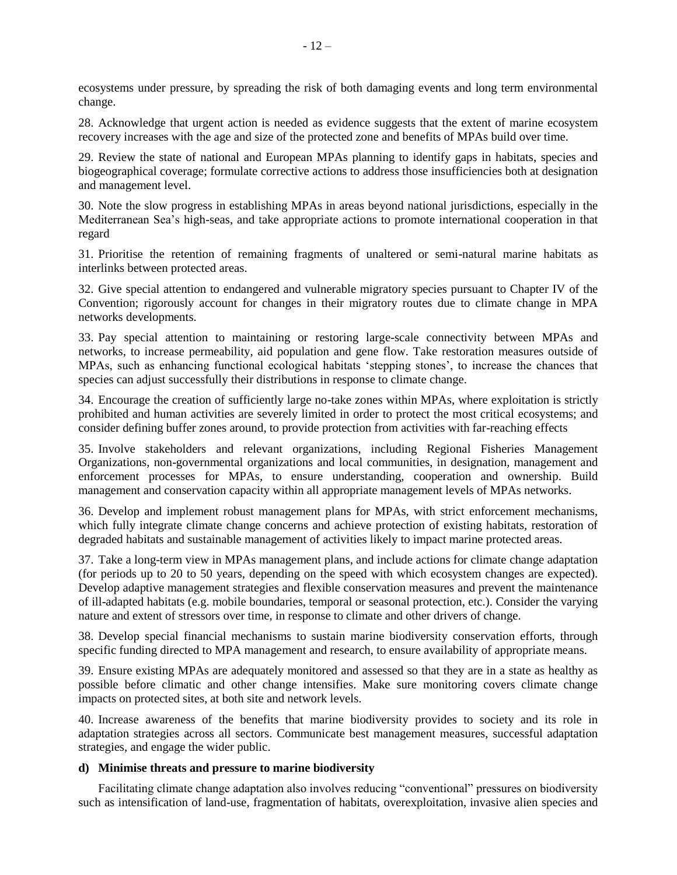ecosystems under pressure, by spreading the risk of both damaging events and long term environmental change.

28. Acknowledge that urgent action is needed as evidence suggests that the extent of marine ecosystem recovery increases with the age and size of the protected zone and benefits of MPAs build over time.

29. Review the state of national and European MPAs planning to identify gaps in habitats, species and biogeographical coverage; formulate corrective actions to address those insufficiencies both at designation and management level.

30. Note the slow progress in establishing MPAs in areas beyond national jurisdictions, especially in the Mediterranean Sea's high-seas, and take appropriate actions to promote international cooperation in that regard

31. Prioritise the retention of remaining fragments of unaltered or semi-natural marine habitats as interlinks between protected areas.

32. Give special attention to endangered and vulnerable migratory species pursuant to Chapter IV of the Convention; rigorously account for changes in their migratory routes due to climate change in MPA networks developments.

33. Pay special attention to maintaining or restoring large-scale connectivity between MPAs and networks, to increase permeability, aid population and gene flow. Take restoration measures outside of MPAs, such as enhancing functional ecological habitats 'stepping stones', to increase the chances that species can adjust successfully their distributions in response to climate change.

34. Encourage the creation of sufficiently large no-take zones within MPAs, where exploitation is strictly prohibited and human activities are severely limited in order to protect the most critical ecosystems; and consider defining buffer zones around, to provide protection from activities with far-reaching effects

35. Involve stakeholders and relevant organizations, including Regional Fisheries Management Organizations, non-governmental organizations and local communities, in designation, management and enforcement processes for MPAs, to ensure understanding, cooperation and ownership. Build management and conservation capacity within all appropriate management levels of MPAs networks.

36. Develop and implement robust management plans for MPAs, with strict enforcement mechanisms, which fully integrate climate change concerns and achieve protection of existing habitats, restoration of degraded habitats and sustainable management of activities likely to impact marine protected areas.

37. Take a long-term view in MPAs management plans, and include actions for climate change adaptation (for periods up to 20 to 50 years, depending on the speed with which ecosystem changes are expected). Develop adaptive management strategies and flexible conservation measures and prevent the maintenance of ill-adapted habitats (e.g. mobile boundaries, temporal or seasonal protection, etc.). Consider the varying nature and extent of stressors over time, in response to climate and other drivers of change.

38. Develop special financial mechanisms to sustain marine biodiversity conservation efforts, through specific funding directed to MPA management and research, to ensure availability of appropriate means.

39. Ensure existing MPAs are adequately monitored and assessed so that they are in a state as healthy as possible before climatic and other change intensifies. Make sure monitoring covers climate change impacts on protected sites, at both site and network levels.

40. Increase awareness of the benefits that marine biodiversity provides to society and its role in adaptation strategies across all sectors. Communicate best management measures, successful adaptation strategies, and engage the wider public.

## **d) Minimise threats and pressure to marine biodiversity**

Facilitating climate change adaptation also involves reducing "conventional" pressures on biodiversity such as intensification of land-use, fragmentation of habitats, overexploitation, invasive alien species and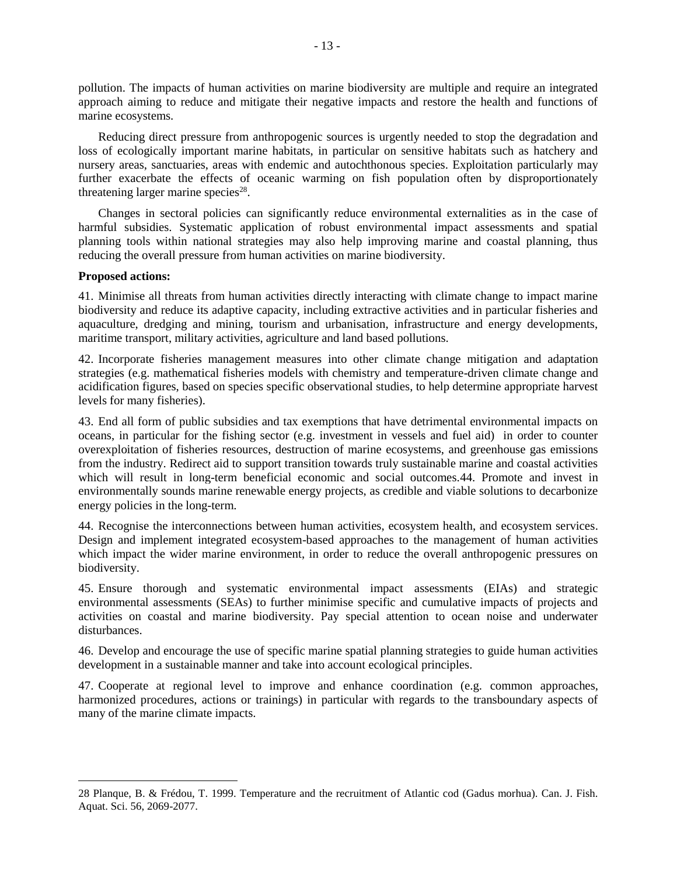pollution. The impacts of human activities on marine biodiversity are multiple and require an integrated approach aiming to reduce and mitigate their negative impacts and restore the health and functions of marine ecosystems.

Reducing direct pressure from anthropogenic sources is urgently needed to stop the degradation and loss of ecologically important marine habitats, in particular on sensitive habitats such as hatchery and nursery areas, sanctuaries, areas with endemic and autochthonous species. Exploitation particularly may further exacerbate the effects of oceanic warming on fish population often by disproportionately threatening larger marine species<sup>28</sup>.

Changes in sectoral policies can significantly reduce environmental externalities as in the case of harmful subsidies. Systematic application of robust environmental impact assessments and spatial planning tools within national strategies may also help improving marine and coastal planning, thus reducing the overall pressure from human activities on marine biodiversity.

#### **Proposed actions:**

 $\overline{a}$ 

41. Minimise all threats from human activities directly interacting with climate change to impact marine biodiversity and reduce its adaptive capacity, including extractive activities and in particular fisheries and aquaculture, dredging and mining, tourism and urbanisation, infrastructure and energy developments, maritime transport, military activities, agriculture and land based pollutions.

42. Incorporate fisheries management measures into other climate change mitigation and adaptation strategies (e.g. mathematical fisheries models with chemistry and temperature-driven climate change and acidification figures, based on species specific observational studies, to help determine appropriate harvest levels for many fisheries).

43. End all form of public subsidies and tax exemptions that have detrimental environmental impacts on oceans, in particular for the fishing sector (e.g. investment in vessels and fuel aid) in order to counter overexploitation of fisheries resources, destruction of marine ecosystems, and greenhouse gas emissions from the industry. Redirect aid to support transition towards truly sustainable marine and coastal activities which will result in long-term beneficial economic and social outcomes.44. Promote and invest in environmentally sounds marine renewable energy projects, as credible and viable solutions to decarbonize energy policies in the long-term.

44. Recognise the interconnections between human activities, ecosystem health, and ecosystem services. Design and implement integrated ecosystem-based approaches to the management of human activities which impact the wider marine environment, in order to reduce the overall anthropogenic pressures on biodiversity.

45. Ensure thorough and systematic environmental impact assessments (EIAs) and strategic environmental assessments (SEAs) to further minimise specific and cumulative impacts of projects and activities on coastal and marine biodiversity. Pay special attention to ocean noise and underwater disturbances.

46. Develop and encourage the use of specific marine spatial planning strategies to guide human activities development in a sustainable manner and take into account ecological principles.

47. Cooperate at regional level to improve and enhance coordination (e.g. common approaches, harmonized procedures, actions or trainings) in particular with regards to the transboundary aspects of many of the marine climate impacts.

<sup>28</sup> Planque, B. & Frédou, T. 1999. Temperature and the recruitment of Atlantic cod (Gadus morhua). Can. J. Fish. Aquat. Sci. 56, 2069-2077.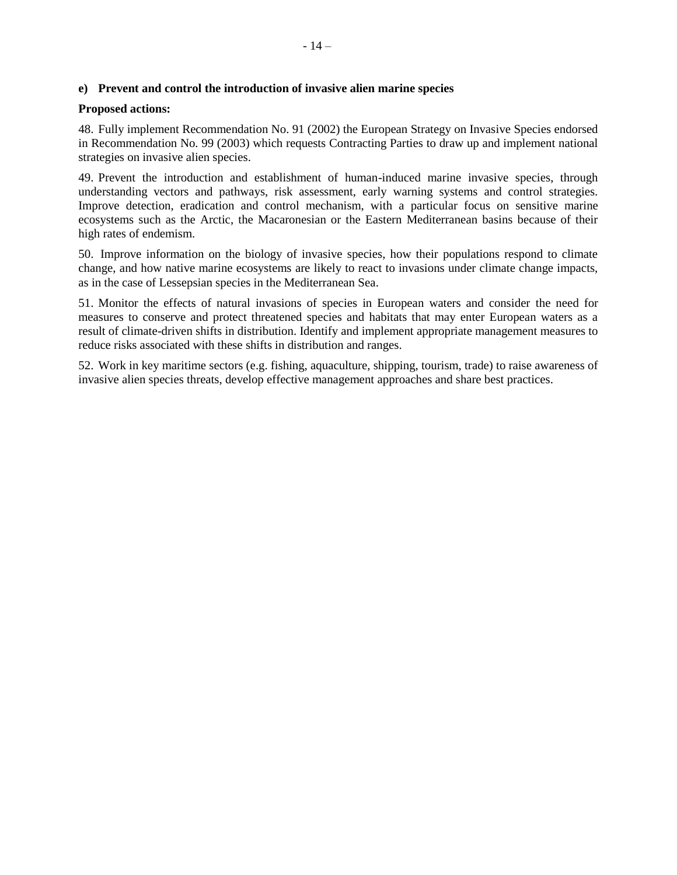# **e) Prevent and control the introduction of invasive alien marine species**

# **Proposed actions:**

48. Fully implement Recommendation No. 91 (2002) the European Strategy on Invasive Species endorsed in Recommendation No. 99 (2003) which requests Contracting Parties to draw up and implement national strategies on invasive alien species.

49. Prevent the introduction and establishment of human-induced marine invasive species, through understanding vectors and pathways, risk assessment, early warning systems and control strategies. Improve detection, eradication and control mechanism, with a particular focus on sensitive marine ecosystems such as the Arctic, the Macaronesian or the Eastern Mediterranean basins because of their high rates of endemism.

50. Improve information on the biology of invasive species, how their populations respond to climate change, and how native marine ecosystems are likely to react to invasions under climate change impacts, as in the case of Lessepsian species in the Mediterranean Sea.

51. Monitor the effects of natural invasions of species in European waters and consider the need for measures to conserve and protect threatened species and habitats that may enter European waters as a result of climate-driven shifts in distribution. Identify and implement appropriate management measures to reduce risks associated with these shifts in distribution and ranges.

52. Work in key maritime sectors (e.g. fishing, aquaculture, shipping, tourism, trade) to raise awareness of invasive alien species threats, develop effective management approaches and share best practices.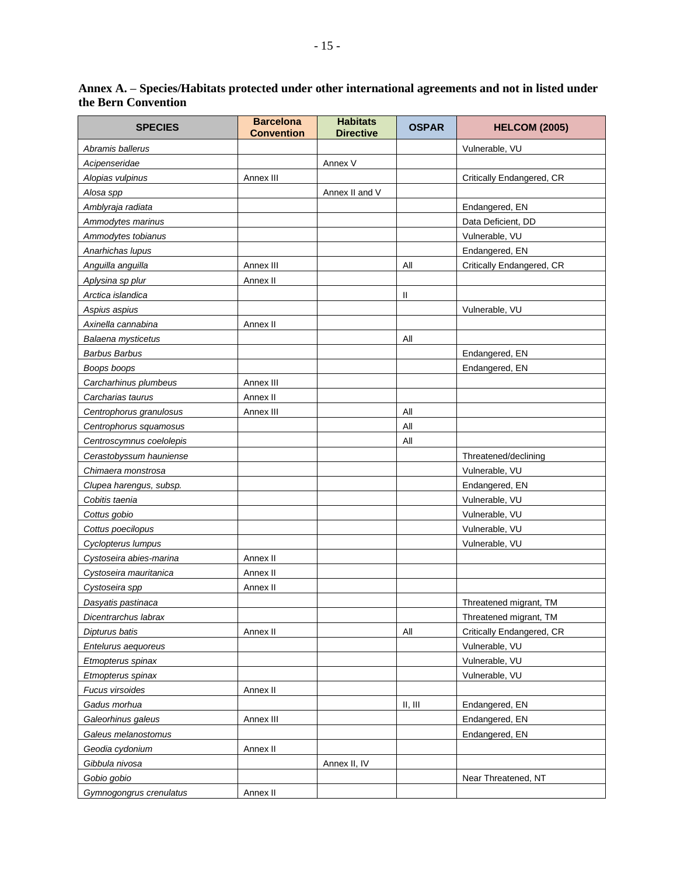# **Annex A. – Species/Habitats protected under other international agreements and not in listed under the Bern Convention**

| <b>SPECIES</b>           | <b>Barcelona</b><br><b>Convention</b> | <b>Habitats</b><br><b>Directive</b> | <b>OSPAR</b> | <b>HELCOM (2005)</b>      |
|--------------------------|---------------------------------------|-------------------------------------|--------------|---------------------------|
| Abramis ballerus         |                                       |                                     |              | Vulnerable, VU            |
| Acipenseridae            |                                       | Annex V                             |              |                           |
| Alopias vulpinus         | Annex III                             |                                     |              | Critically Endangered, CR |
| Alosa spp                |                                       | Annex II and V                      |              |                           |
| Amblyraja radiata        |                                       |                                     |              | Endangered, EN            |
| Ammodytes marinus        |                                       |                                     |              | Data Deficient, DD        |
| Ammodytes tobianus       |                                       |                                     |              | Vulnerable, VU            |
| Anarhichas lupus         |                                       |                                     |              | Endangered, EN            |
| Anguilla anguilla        | Annex III                             |                                     | All          | Critically Endangered, CR |
| Aplysina sp plur         | Annex II                              |                                     |              |                           |
| Arctica islandica        |                                       |                                     | $\mathbf{I}$ |                           |
| Aspius aspius            |                                       |                                     |              | Vulnerable, VU            |
| Axinella cannabina       | Annex II                              |                                     |              |                           |
| Balaena mysticetus       |                                       |                                     | All          |                           |
| <b>Barbus Barbus</b>     |                                       |                                     |              | Endangered, EN            |
| Boops boops              |                                       |                                     |              | Endangered, EN            |
| Carcharhinus plumbeus    | Annex III                             |                                     |              |                           |
| Carcharias taurus        | Annex II                              |                                     |              |                           |
| Centrophorus granulosus  | Annex III                             |                                     | All          |                           |
| Centrophorus squamosus   |                                       |                                     | All          |                           |
| Centroscymnus coelolepis |                                       |                                     | All          |                           |
| Cerastobyssum hauniense  |                                       |                                     |              | Threatened/declining      |
| Chimaera monstrosa       |                                       |                                     |              | Vulnerable, VU            |
| Clupea harengus, subsp.  |                                       |                                     |              | Endangered, EN            |
| Cobitis taenia           |                                       |                                     |              | Vulnerable, VU            |
| Cottus gobio             |                                       |                                     |              | Vulnerable, VU            |
| Cottus poecilopus        |                                       |                                     |              | Vulnerable, VU            |
| Cyclopterus lumpus       |                                       |                                     |              | Vulnerable, VU            |
| Cystoseira abies-marina  | Annex II                              |                                     |              |                           |
| Cystoseira mauritanica   | Annex II                              |                                     |              |                           |
| Cystoseira spp           | Annex II                              |                                     |              |                           |
| Dasyatis pastinaca       |                                       |                                     |              | Threatened migrant, TM    |
| Dicentrarchus labrax     |                                       |                                     |              | Threatened migrant, TM    |
| Dipturus batis           | Annex II                              |                                     | All          | Critically Endangered, CR |
| Entelurus aequoreus      |                                       |                                     |              | Vulnerable, VU            |
| Etmopterus spinax        |                                       |                                     |              | Vulnerable, VU            |
| Etmopterus spinax        |                                       |                                     |              | Vulnerable, VU            |
| Fucus virsoides          | Annex II                              |                                     |              |                           |
| Gadus morhua             |                                       |                                     | II, III      | Endangered, EN            |
| Galeorhinus galeus       | Annex III                             |                                     |              | Endangered, EN            |
| Galeus melanostomus      |                                       |                                     |              | Endangered, EN            |
| Geodia cydonium          | Annex II                              |                                     |              |                           |
| Gibbula nivosa           |                                       | Annex II, IV                        |              |                           |
| Gobio gobio              |                                       |                                     |              | Near Threatened, NT       |
| Gymnogongrus crenulatus  | Annex II                              |                                     |              |                           |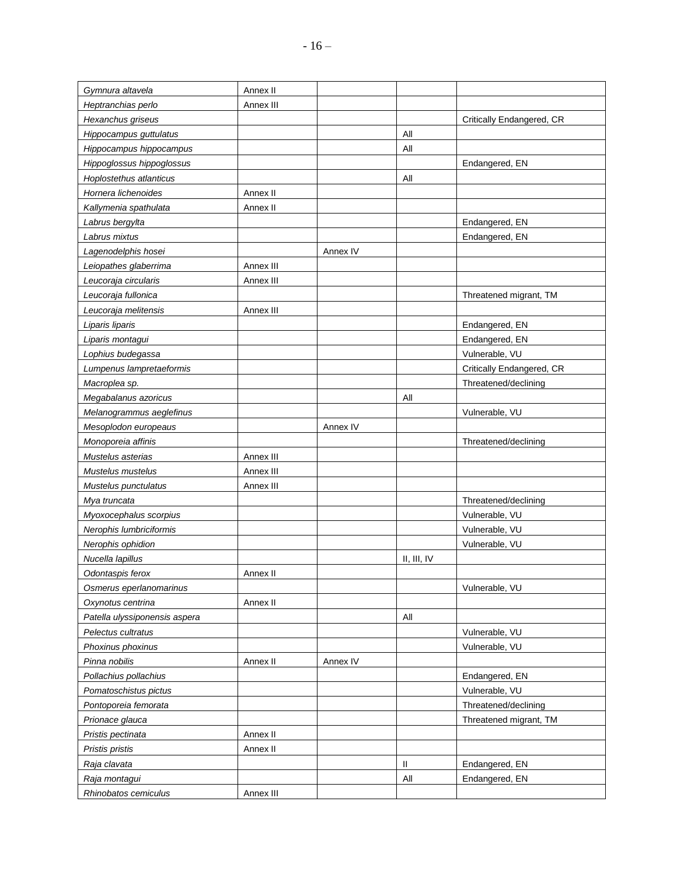| Gymnura altavela              | Annex II  |          |             |                           |
|-------------------------------|-----------|----------|-------------|---------------------------|
| Heptranchias perlo            | Annex III |          |             |                           |
| Hexanchus griseus             |           |          |             | Critically Endangered, CR |
| Hippocampus guttulatus        |           |          | All         |                           |
| Hippocampus hippocampus       |           |          | All         |                           |
| Hippoglossus hippoglossus     |           |          |             | Endangered, EN            |
| Hoplostethus atlanticus       |           |          | All         |                           |
| Hornera lichenoides           | Annex II  |          |             |                           |
| Kallymenia spathulata         | Annex II  |          |             |                           |
| Labrus bergylta               |           |          |             | Endangered, EN            |
| Labrus mixtus                 |           |          |             | Endangered, EN            |
| Lagenodelphis hosei           |           | Annex IV |             |                           |
| Leiopathes glaberrima         | Annex III |          |             |                           |
| Leucoraja circularis          | Annex III |          |             |                           |
| Leucoraja fullonica           |           |          |             | Threatened migrant, TM    |
| Leucoraja melitensis          | Annex III |          |             |                           |
| Liparis liparis               |           |          |             | Endangered, EN            |
| Liparis montagui              |           |          |             | Endangered, EN            |
| Lophius budegassa             |           |          |             | Vulnerable, VU            |
| Lumpenus lampretaeformis      |           |          |             | Critically Endangered, CR |
| Macroplea sp.                 |           |          |             | Threatened/declining      |
| Megabalanus azoricus          |           |          | All         |                           |
| Melanogrammus aeglefinus      |           |          |             | Vulnerable, VU            |
| Mesoplodon europeaus          |           | Annex IV |             |                           |
| Monoporeia affinis            |           |          |             | Threatened/declining      |
| Mustelus asterias             | Annex III |          |             |                           |
| Mustelus mustelus             | Annex III |          |             |                           |
| Mustelus punctulatus          | Annex III |          |             |                           |
| Mya truncata                  |           |          |             | Threatened/declining      |
| Myoxocephalus scorpius        |           |          |             | Vulnerable, VU            |
| Nerophis lumbriciformis       |           |          |             | Vulnerable, VU            |
| Nerophis ophidion             |           |          |             | Vulnerable, VU            |
| Nucella lapillus              |           |          | II, III, IV |                           |
| Odontaspis ferox              | Annex II  |          |             |                           |
| Osmerus eperlanomarinus       |           |          |             | Vulnerable, VU            |
| Oxynotus centrina             | Annex II  |          |             |                           |
| Patella ulyssiponensis aspera |           |          | All         |                           |
| Pelectus cultratus            |           |          |             | Vulnerable, VU            |
| Phoxinus phoxinus             |           |          |             | Vulnerable, VU            |
| Pinna nobilis                 | Annex II  | Annex IV |             |                           |
| Pollachius pollachius         |           |          |             | Endangered, EN            |
| Pomatoschistus pictus         |           |          |             | Vulnerable, VU            |
| Pontoporeia femorata          |           |          |             | Threatened/declining      |
| Prionace glauca               |           |          |             | Threatened migrant, TM    |
| Pristis pectinata             | Annex II  |          |             |                           |
| Pristis pristis               | Annex II  |          |             |                           |
| Raja clavata                  |           |          | Ш           | Endangered, EN            |
| Raja montagui                 |           |          | All         | Endangered, EN            |
| Rhinobatos cemiculus          | Annex III |          |             |                           |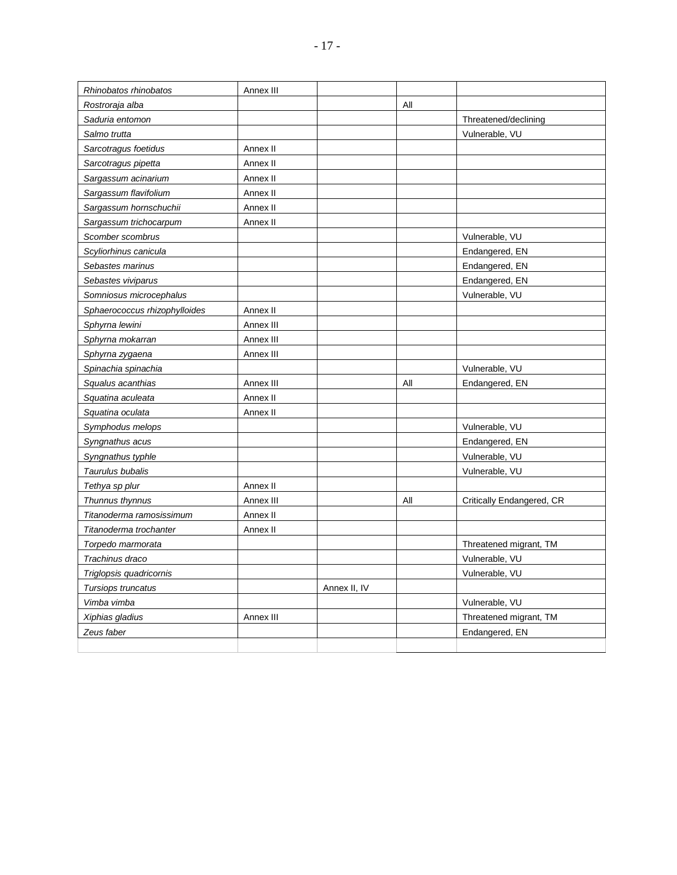| Rhinobatos rhinobatos         | Annex III |              |     |                           |
|-------------------------------|-----------|--------------|-----|---------------------------|
| Rostroraja alba               |           |              | All |                           |
| Saduria entomon               |           |              |     | Threatened/declining      |
| Salmo trutta                  |           |              |     | Vulnerable, VU            |
| Sarcotragus foetidus          | Annex II  |              |     |                           |
| Sarcotragus pipetta           | Annex II  |              |     |                           |
| Sargassum acinarium           | Annex II  |              |     |                           |
| Sargassum flavifolium         | Annex II  |              |     |                           |
| Sargassum hornschuchii        | Annex II  |              |     |                           |
| Sargassum trichocarpum        | Annex II  |              |     |                           |
| Scomber scombrus              |           |              |     | Vulnerable, VU            |
| Scyliorhinus canicula         |           |              |     | Endangered, EN            |
| Sebastes marinus              |           |              |     | Endangered, EN            |
| Sebastes viviparus            |           |              |     | Endangered, EN            |
| Somniosus microcephalus       |           |              |     | Vulnerable, VU            |
| Sphaerococcus rhizophylloides | Annex II  |              |     |                           |
| Sphyrna lewini                | Annex III |              |     |                           |
| Sphyrna mokarran              | Annex III |              |     |                           |
| Sphyrna zygaena               | Annex III |              |     |                           |
| Spinachia spinachia           |           |              |     | Vulnerable, VU            |
| Squalus acanthias             | Annex III |              | All | Endangered, EN            |
| Squatina aculeata             | Annex II  |              |     |                           |
| Squatina oculata              | Annex II  |              |     |                           |
| Symphodus melops              |           |              |     | Vulnerable, VU            |
| Syngnathus acus               |           |              |     | Endangered, EN            |
| Syngnathus typhle             |           |              |     | Vulnerable, VU            |
| Taurulus bubalis              |           |              |     | Vulnerable, VU            |
| Tethya sp plur                | Annex II  |              |     |                           |
| Thunnus thynnus               | Annex III |              | All | Critically Endangered, CR |
| Titanoderma ramosissimum      | Annex II  |              |     |                           |
| Titanoderma trochanter        | Annex II  |              |     |                           |
| Torpedo marmorata             |           |              |     | Threatened migrant, TM    |
| Trachinus draco               |           |              |     | Vulnerable, VU            |
| Triglopsis quadricornis       |           |              |     | Vulnerable, VU            |
| Tursiops truncatus            |           | Annex II, IV |     |                           |
| Vimba vimba                   |           |              |     | Vulnerable, VU            |
| Xiphias gladius               | Annex III |              |     | Threatened migrant, TM    |
| Zeus faber                    |           |              |     | Endangered, EN            |
|                               |           |              |     |                           |